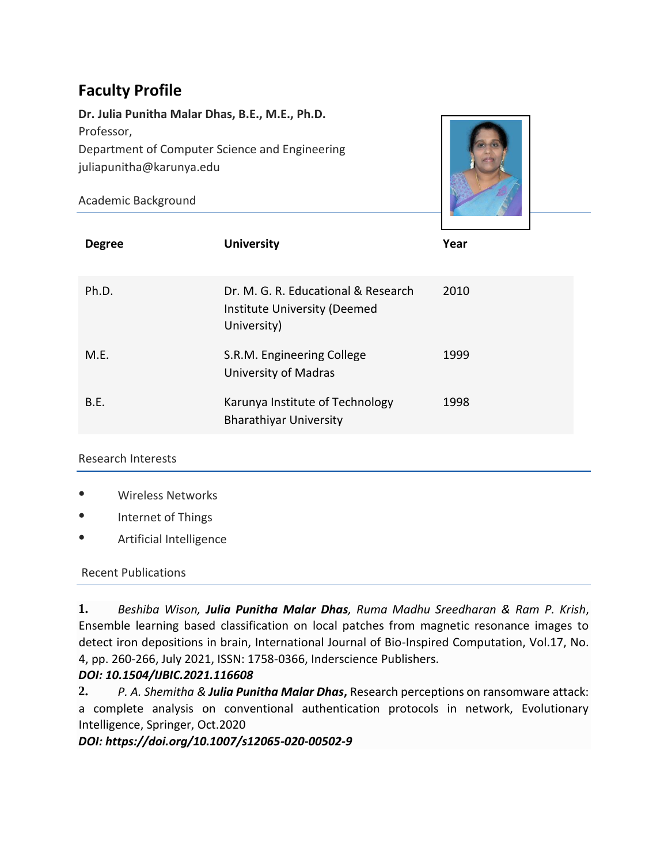# **Faculty Profile**

**Dr. Julia Punitha Malar Dhas, B.E., M.E., Ph.D.** Professor, Department of Computer Science and Engineering juliapunitha@karunya.edu

Academic Background



| <b>Degree</b> | <b>University</b>                                                                  | Year |
|---------------|------------------------------------------------------------------------------------|------|
| Ph.D.         | Dr. M. G. R. Educational & Research<br>Institute University (Deemed<br>University) | 2010 |
| M.E.          | S.R.M. Engineering College<br>University of Madras                                 | 1999 |
| B.E.          | Karunya Institute of Technology<br><b>Bharathiyar University</b>                   | 1998 |

#### Research Interests

- Wireless Networks
- Internet of Things
- Artificial Intelligence

#### Recent Publications

**1.** *Beshiba Wison, Julia Punitha Malar Dhas, Ruma Madhu Sreedharan & Ram P. Krish*, Ensemble learning based classification on local patches from magnetic resonance images to detect iron depositions in brain, International Journal of Bio-Inspired Computation, Vol.17, No. 4, pp. 260-266, July 2021, ISSN: 1758-0366, Inderscience Publishers.

#### *DOI: 10.1504/IJBIC.2021.116608*

**2.** *[P. A. Shemitha](about:blank) & [Julia Punitha Malar Dhas](about:blank)***,** Research perceptions on ransomware attack: a complete analysis on conventional authentication protocols in network, Evolutionary Intelligence, Springer, Oct.2020

*DOI: https://doi.org/10.1007/s12065-020-00502-9*